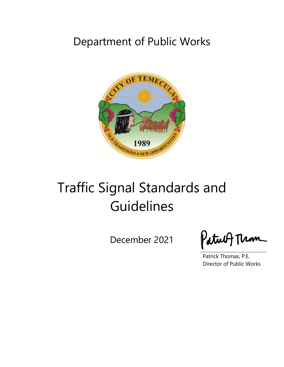# Department of Public Works



# Traffic Signal Standards and Guidelines

December 2021

Patult Thom

Patrick Thomas, P.E. Director of Public Works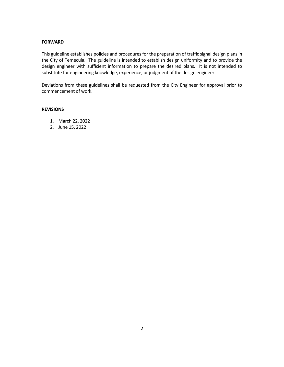#### **FORWARD**

This guideline establishes policies and procedures for the preparation of traffic signal design plans in the City of Temecula. The guideline is intended to establish design uniformity and to provide the design engineer with sufficient information to prepare the desired plans. It is not intended to substitute for engineering knowledge, experience, or judgment of the design engineer.

Deviations from these guidelines shall be requested from the City Engineer for approval prior to commencement of work.

#### **REVISIONS**

- 1. March 22, 2022
- 2. June 15, 2022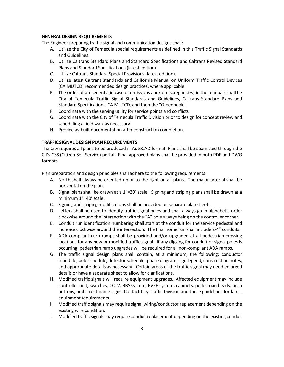#### **GENERAL DESIGN REQUIREMENTS**

The Engineer preparing traffic signal and communication designs shall:

- A. Utilize the City of Temecula special requirements as defined in this Traffic Signal Standards and Guidelines.
- B. Utilize Caltrans Standard Plans and Standard Specifications and Caltrans Revised Standard Plans and Standard Specifications (latest edition).
- C. Utilize Caltrans Standard Special Provisions (latest edition).
- D. Utilize latest Caltrans standards and California Manual on Uniform Traffic Control Devices (CA MUTCD) recommended design practices, where applicable.
- E. The order of precedents (in case of omissions and/or discrepancies) in the manuals shall be City of Temecula Traffic Signal Standards and Guidelines, Caltrans Standard Plans and Standard Specifications, CA MUTCD, and then the "Greenbook".
- F. Coordinate with the serving utility for service points and conflicts.
- G. Coordinate with the City of Temecula Traffic Division prior to design for concept review and scheduling a field walk as necessary.
- H. Provide as-built documentation after construction completion.

#### **TRAFFIC SIGNALDESIGN PLAN REQUIREMENTS**

The City requires all plans to be produced in AutoCAD format. Plans shall be submitted through the Cit's CSS (Citizen Self Service) portal. Final approved plans shall be provided in both PDF and DWG formats.

Plan preparation and design principles shall adhere to the following requirements:

- A. North shall always be oriented up or to the right on all plans. The major arterial shall be horizontal on the plan.
- B. Signal plans shall be drawn at a  $1"=20'$  scale. Signing and striping plans shall be drawn at a minimum 1"=40' scale.
- C. Signing and striping modifications shall be provided on separate plan sheets.
- D. Letters shall be used to identify traffic signal poles and shall always go in alphabetic order clockwise around the intersection with the "A" pole always being on the controller corner.
- E. Conduit run identification numbering shall start at the conduit for the service pedestal and increase clockwise around the intersection. The final home run shall include 2-4" conduits.
- F. ADA compliant curb ramps shall be provided and/or upgraded at all pedestrian crossing locations for any new or modified traffic signal. If any digging for conduit or signal poles is occurring, pedestrian ramp upgrades will be required for all non-compliant ADA ramps.
- G. The traffic signal design plans shall contain, at a minimum, the following: conductor schedule, pole schedule, detector schedule, phase diagram, sign legend, construction notes, and appropriate details as necessary. Certain areas of the traffic signal may need enlarged details or have a separate sheet to allow for clarifications.
- H. Modified traffic signals will require equipment upgrades. Affected equipment may include controller unit, switches, CCTV, BBS system, EVPE system, cabinets, pedestrian heads, push buttons, and street name signs. Contact City Traffic Division and these guidelines for latest equipment requirements.
- I. Modified traffic signals may require signal wiring/conductor replacement depending on the existing wire condition.
- J. Modified traffic signals may require conduit replacement depending on the existing conduit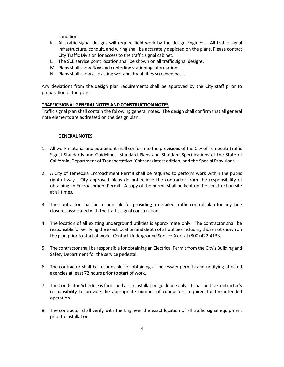condition.

- K. All traffic signal designs will require field work by the design Engineer. All traffic signal infrastructure, conduit, and wiring shall be accurately depicted on the plans. Please contact City Traffic Division for access to the traffic signal cabinet.
- L. The SCE service point location shall be shown on all traffic signal designs.
- M. Plans shall show R/W and centerline stationing information.
- N. Plans shall show all existing wet and dry utilities screened back.

Any deviations from the design plan requirements shall be approved by the City staff prior to preparation of the plans.

#### **TRAFFIC SIGNALGENERALNOTES ANDCONSTRUCTIONNOTES**

Traffic signal plan shall contain the following general notes. The design shall confirm that all general note elements are addressed on the design plan.

#### **GENERALNOTES**

- 1. All work material and equipment shall conform to the provisions of the City of Temecula Traffic Signal Standards and Guidelines, Standard Plans and Standard Specifications of the State of California, Department of Transportation (Caltrans) latest edition, and the Special Provisions.
- 2. A City of Temecula Encroachment Permit shall be required to perform work within the public right-of-way. City approved plans do not relieve the contractor from the responsibility of obtaining an Encroachment Permit. A copy of the permit shall be kept on the construction site at all times.
- 3. The contractor shall be responsible for providing a detailed traffic control plan for any lane closures associated with the traffic signal construction.
- 4. The location of all existing underground utilities is approximate only. The contractor shall be responsible for verifying the exact location and depth of all utilities including those not shown on the plan prior to start of work. Contact Underground Service Alert at (800) 422-4133.
- 5. The contractor shall be responsible for obtaining an Electrical Permit from the City's Building and Safety Department for the service pedestal.
- 6. The contractor shall be responsible for obtaining all necessary permits and notifying affected agencies at least 72 hours prior to start of work.
- 7. The Conductor Schedule is furnished as an installation guideline only. It shall be the Contractor's responsibility to provide the appropriate number of conductors required for the intended operation.
- 8. The contractor shall verify with the Engineer the exact location of all traffic signal equipment prior to installation.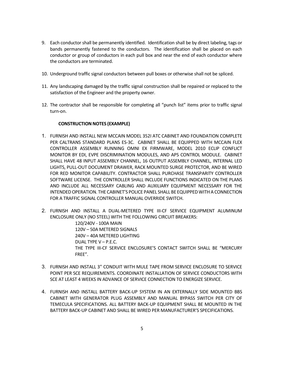- 9. Each conductor shall be permanently identified. Identification shall be by direct labeling, tags or bands permanently fastened to the conductors. The identification shall be placed on each conductor or group of conductors in each pull box and near the end of each conductor where the conductors are terminated.
- 10. Underground traffic signal conductors between pull boxes or otherwise shall not be spliced.
- 11. Any landscaping damaged by the traffic signal construction shall be repaired or replaced to the satisfaction of the Engineer and the property owner.
- 12. The contractor shall be responsible for completing all "punch list" items prior to traffic signal turn-on.

# **CONSTRUCTION NOTES (EXAMPLE)**

- 1. FURNISH AND INSTALL NEW MCCAIN MODEL 352I ATC CABINET AND FOUNDATION COMPLETE PER CALTRANS STANDARD PLANS ES-3C. CABINET SHALL BE EQUIPPED WITH MCCAIN FLEX CONTROLLER ASSEMBLY RUNNING OMNI EX FIRMWARE, MODEL 2010 ECLIP CONFLICT MONITOR BY EDI, EVPE DISCRIMINATION MODULES, AND APS CONTROL MODULE. CABINET SHALL HAVE 48 INPUT ASSEMBLY CHANNEL, 16 OUTPUT ASSEMBLY CHANNEL, INTERNAL LED LIGHTS, PULL-OUT DOCUMENT DRAWER, RACK MOUNTED SURGE PROTECTOR, AND BE WIRED FOR RED MONITOR CAPABILITY. CONTRACTOR SHALL PURCHASE TRANSPARITY CONTROLLER SOFTWARE LICENSE. THE CONTROLLER SHALL INCLUDE FUNCTIONS INDICATED ON THE PLANS AND INCLUDE ALL NECESSARY CABLING AND AUXILIARY EQUIPMENT NECESSARY FOR THE INTENDED OPERATION. THE CABINET'S POLICE PANEL SHALL BE EQUIPPED WITH A CONNECTION FOR A TRAFFIC SIGNAL CONTROLLER MANUAL OVERRIDE SWITCH.
- 2. FURNISH AND INSTALL A DUAL-METERED TYPE III-CF SERVICE EQUIPMENT ALUMINUM ENCLOSURE ONLY (NO STEEL) WITH THE FOLLOWING CIRCUIT BREAKERS:

120/240V - 100A MAIN 120V – 50A METERED SIGNALS 240V – 40A METERED LIGHTING DUAL TYPE V – P.E.C. THE TYPE III-CF SERVICE ENCLOSURE'S CONTACT SWITCH SHALL BE "MERCURY FREE".

- 3. FURNISH AND INSTALL 3" CONDUIT WITH MULE TAPE FROM SERVICE ENCLOSURE TO SERVICE POINT PER SCE REQUIREMENTS. COORDINATE INSTALLATION OF SERVICE CONDUCTORS WITH SCE AT LEAST 4 WEEKS IN ADVANCE OF SERVICE CONNECTION TO ENERGIZE SERVICE.
- 4. FURNISH AND INSTALL BATTERY BACK-UP SYSTEM IN AN EXTERNALLY SIDE MOUNTED BBS CABINET WITH GENERATOR PLUG ASSEMBLY AND MANUAL BYPASS SWITCH PER CITY OF TEMECULA SPECIFICATIONS. ALL BATTERY BACK-UP EQUIPMENT SHALL BE MOUNTED IN THE BATTERY BACK-UP CABINET AND SHALL BE WIRED PER MANUFACTURER'S SPECIFICATIONS.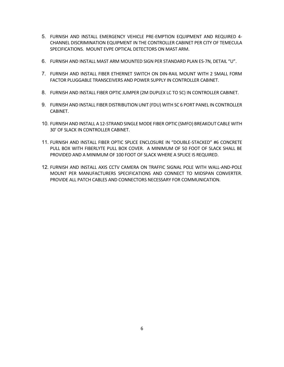- 5. FURNISH AND INSTALL EMERGENCY VEHICLE PRE-EMPTION EQUIPMENT AND REQUIRED 4- CHANNEL DISCRIMINATION EQUIPMENT IN THE CONTROLLER CABINET PER CITY OF TEMECULA SPECIFICATIONS. MOUNT EVPE OPTICAL DETECTORS ON MAST ARM.
- 6. FURNISH AND INSTALL MAST ARM MOUNTED SIGN PER STANDARD PLAN ES-7N, DETAIL "U".
- 7. FURNISH AND INSTALL FIBER ETHERNET SWITCH ON DIN-RAIL MOUNT WITH 2 SMALL FORM FACTOR PLUGGABLE TRANSCEIVERS AND POWER SUPPLY IN CONTROLLER CABINET.
- 8. FURNISH AND INSTALL FIBER OPTIC JUMPER (2M DUPLEX LC TO SC) IN CONTROLLER CABINET.
- 9. FURNISH AND INSTALL FIBER DISTRIBUTION UNIT (FDU) WITH SC 6 PORT PANEL IN CONTROLLER CABINET.
- 10. FURNISH AND INSTALL A 12-STRAND SINGLE MODE FIBER OPTIC (SMFO) BREAKOUT CABLE WITH 30' OF SLACK IN CONTROLLER CABINET.
- 11. FURNISH AND INSTALL FIBER OPTIC SPLICE ENCLOSURE IN "DOUBLE-STACKED" #6 CONCRETE PULL BOX WITH FIBERLYTE PULL BOX COVER. A MINIMUM OF 50 FOOT OF SLACK SHALL BE PROVIDED AND A MINIMUM OF 100 FOOT OF SLACK WHERE A SPLICE IS REQUIRED.
- 12. FURNISH AND INSTALL AXIS CCTV CAMERA ON TRAFFIC SIGNAL POLE WITH WALL-AND-POLE MOUNT PER MANUFACTURERS SPECIFICATIONS AND CONNECT TO MIDSPAN CONVERTER. PROVIDE ALL PATCH CABLES AND CONNECTORS NECESSARY FOR COMMUNICATION.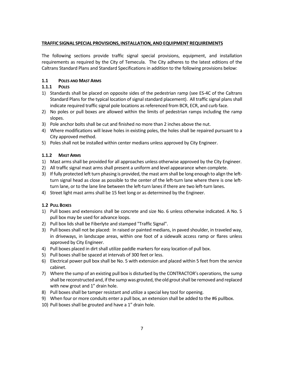# **TRAFFIC SIGNAL SPECIAL PROVISIONS, INSTALLATION, ANDEQUIPMENT REQUIREMENTS**

The following sections provide traffic signal special provisions, equipment, and installation requirements as required by the City of Temecula. The City adheres to the latest editions of the Caltrans Standard Plans and Standard Specifications in addition to the following provisions below:

# **1.1 POLES AND MAST ARMS**

# **1.1.1 POLES**

- 1) Standards shall be placed on opposite sides of the pedestrian ramp (see ES-4C of the Caltrans Standard Plans for the typical location of signal standard placement). All traffic signal plans shall indicate required traffic signal pole locations as referenced from BCR, ECR, and curb face.
- 2) No poles or pull boxes are allowed within the limits of pedestrian ramps including the ramp slopes.
- 3) Pole anchor bolts shall be cut and finished no more than 2 inches above the nut.
- 4) Where modifications will leave holes in existing poles, the holes shall be repaired pursuant to a City approved method.
- 5) Poles shall not be installed within center medians unless approved by City Engineer.

# **1.1.2 MAST ARMS**

- 1) Mast arms shall be provided for all approaches unless otherwise approved by the City Engineer.
- 2) All traffic signal mast arms shall present a uniform and level appearance when complete.
- 3) If fully protected left turn phasing is provided, the mast arm shall be long enough to align the leftturn signal head as close as possible to the center of the left-turn lane where there is one leftturn lane, or to the lane line between the left-turn lanes if there are two left-turn lanes.
- 4) Street light mast arms shall be 15 feet long or as determined by the Engineer.

# **1.2 PULL BOXES**

- 1) Pull boxes and extensions shall be concrete and size No. 6 unless otherwise indicated. A No. 5 pull box may be used for advance loops.
- 2) Pull box lids shall be Fiberlyte and stamped "Traffic Signal".
- 3) Pull boxes shall not be placed: In raised or painted medians, in paved shoulder, in traveled way, in driveways, in landscape areas, within one foot of a sidewalk access ramp or flares unless approved by City Engineer.
- 4) Pull boxes placed in dirt shall utilize paddle markers for easy location of pull box.
- 5) Pull boxes shall be spaced at intervals of 300 feet or less.
- 6) Electrical power pull box shall be No. 5 with extension and placed within 5 feet from the service cabinet.
- 7) Where the sump of an existing pull box is disturbed by the CONTRACTOR's operations, the sump shall be reconstructed and, if the sump was grouted, the old grout shall be removed and replaced with new grout and 1" drain hole.
- 8) Pull boxes shall be tamper resistant and utilize a special key tool for opening.
- 9) When four or more conduits enter a pull box, an extension shall be added to the #6 pullbox.
- 10) Pull boxes shall be grouted and have a 1" drain hole.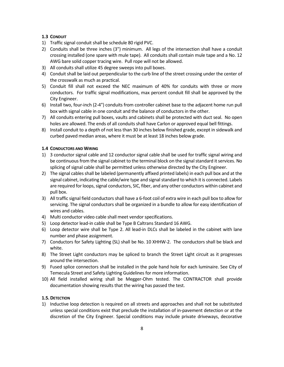# **1.3 CONDUIT**

- 1) Traffic signal conduit shall be schedule 80 rigid PVC.
- 2) Conduits shall be three inches (3") minimum. All legs of the intersection shall have a conduit crossing installed (one spare with mule tape). All conduits shall contain mule tape and a No. 12 AWG bare solid copper tracing wire. Pull rope will not be allowed.
- 3) All conduits shall utilize 45 degree sweeps into pull boxes.
- 4) Conduit shall be laid out perpendicular to the curb line of the street crossing under the center of the crosswalk as much as practical.
- 5) Conduit fill shall not exceed the NEC maximum of 40% for conduits with three or more conductors. For traffic signal modifications, max percent conduit fill shall be approved by the City Engineer.
- 6) Install two, four-inch (2-4") conduits from controller cabinet base to the adjacent home run pull box with signal cable in one conduit and the balance of conductors in the other.
- 7) All conduits entering pull boxes, vaults and cabinets shall be protected with duct seal. No open holes are allowed. The ends of all conduits shall have Carlon or approved equal bell fittings.
- 8) Install conduit to a depth of not less than 30 inches below finished grade, except in sidewalk and curbed paved median areas, where it must be at least 18 inches below grade.

#### **1.4 CONDUCTORS AND WIRING**

- 1) 3 conductor signal cable and 12 conductor signal cable shall be used for traffic signal wiring and be continuous from the signal cabinet to the terminal block on the signal standard it services. No splicing of signal cable shall be permitted unless otherwise directed by the City Engineer.
- 2) The signal cables shall be labeled (permanently affixed printed labels) in each pull box and at the signal cabinet, indicating the cable/wire type and signal standard to which it is connected. Labels are required for loops, signal conductors, SIC, fiber, and any other conductors within cabinet and pull box.
- 3) All traffic signal field conductors shall have a 6-foot coil of extra wire in each pull box to allow for servicing. The signal conductors shall be organized in a bundle to allow for easy identification of wires and cables.
- 4) Multi conductor video cable shall meet vendor specifications.
- 5) Loop detector lead-in cable shall be Type B Caltrans Standard 16 AWG.
- 6) Loop detector wire shall be Type 2. All lead-in DLCs shall be labeled in the cabinet with lane number and phase assignment.
- 7) Conductors for Safety Lighting (SL) shall be No. 10 XHHW-2. The conductors shall be black and white.
- 8) The Street Light conductors may be spliced to branch the Street Light circuit as it progresses around the intersection.
- 9) Fused splice connectors shall be installed in the pole hand hole for each luminaire. See City of Temecula Street and Safety Lighting Guidelines for more information.
- 10) All field installed wiring shall be Megger-Ohm tested. The CONTRACTOR shall provide documentation showing results that the wiring has passed the test.

#### **1.5. DETECTION**

1) Inductive loop detection is required on all streets and approaches and shall not be substituted unless special conditions exist that preclude the installation of in-pavement detection or at the discretion of the City Engineer. Special conditions may include private driveways, decorative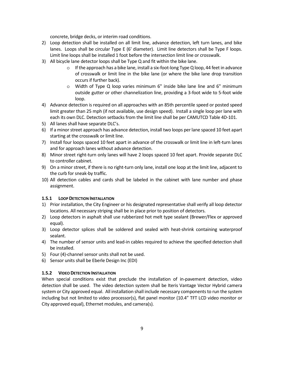concrete, bridge decks, or interim road conditions.

- 2) Loop detection shall be installed on all limit line, advance detection, left turn lanes, and bike lanes. Loops shall be circular Type E (6' diameter). Limit line detectors shall be Type F loops. Limit line loops shall be installed 1 foot before the intersection limit line or crosswalk.
- 3) All bicycle lane detector loops shall be Type Q and fit within the bike lane.
	- $\circ$  If the approach has a bike lane, install a six-foot-long Type Q loop, 44 feet in advance of crosswalk or limit line in the bike lane (or where the bike lane drop transition occurs if further back).
	- o Width of Type Q loop varies minimum 6" inside bike lane line and 6" minimum outside gutter or other channelization line, providing a 3-foot wide to 5-foot wide loop.
- 4) Advance detection is required on all approaches with an 85th percentile speed or posted speed limit greater than 25 mph (if not available, use design speed). Install a single loop per lane with each its own DLC. Detection setbacks from the limit line shall be per CAMUTCD Table 4D-101.
- 5) All lanes shall have separate DLC's.
- 6) If a minor street approach has advance detection, install two loops per lane spaced 10 feet apart starting at the crosswalk or limit line.
- 7) Install four loops spaced 10 feet apart in advance of the crosswalk or limit line in left-turn lanes and for approach lanes without advance detection.
- 8) Minor street right-turn only lanes will have 2 loops spaced 10 feet apart. Provide separate DLC to controller cabinet.
- 9) On a minor street, if there is no right-turn only lane, install one loop at the limit line, adjacent to the curb for sneak-by traffic.
- 10) All detection cables and cards shall be labeled in the cabinet with lane number and phase assignment.

# **1.5.1 LOOP DETECTION INSTALLATION**

- 1) Prior installation, the City Engineer or his designated representative shall verify all loop detector locations. All necessary striping shall be in place prior to position of detectors.
- 2) Loop detectors in asphalt shall use rubberized hot melt type sealant (Brewer/Flex or approved equal).
- 3) Loop detector splices shall be soldered and sealed with heat-shrink containing waterproof sealant.
- 4) The number of sensor units and lead-in cables required to achieve the specified detection shall be installed.
- 5) Four (4)-channel sensor units shall not be used.
- 6) Sensor units shall be Eberle Design Inc (EDI)

# **1.5.2 VIDEO DETECTION INSTALLATION**

When special conditions exist that preclude the installation of in-pavement detection, video detection shall be used. The video detection system shall be Iteris Vantage Vector Hybrid camera system or City approved equal. All installation shall include necessary components to run the system including but not limited to video processor(s), flat panel monitor (10.4" TFT LCD video monitor or City approved equal), Ethernet modules, and camera(s).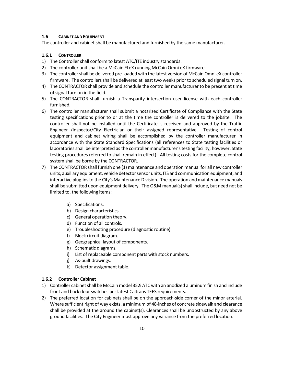#### **1.6 CABINET AND EQUIPMENT**

The controller and cabinet shall be manufactured and furnished by the same manufacturer.

#### **1.6.1 CONTROLLER**

- 1) The Controller shall conform to latest ATC/ITE industry standards.
- 2) The controller unit shall be a McCain FLeX running McCain Omni eX firmware.
- 3) The controller shall be delivered pre-loaded with the latest version of McCain Omni eX controller firmware. The controllers shall be delivered at least two weeks prior to scheduled signal turn on.
- 4) The CONTRACTOR shall provide and schedule the controller manufacturer to be present at time of signal turn on in the field.
- 5) The CONTRACTOR shall furnish a Transparity intersection user license with each controller furnished.
- 6) The controller manufacturer shall submit a notarized Certificate of Compliance with the State testing specifications prior to or at the time the controller is delivered to the jobsite. The controller shall not be installed until the Certificate is received and approved by the Traffic Engineer /Inspector/City Electrician or their assigned representative. Testing of control equipment and cabinet wiring shall be accomplished by the controller manufacturer in accordance with the State Standard Specifications (all references to State testing facilities or laboratories shall be interpreted as the controller manufacturer's testing facility; however, State testing procedures referred to shall remain in effect). All testing costs for the complete control system shall be borne by the CONTRACTOR.
- 7) The CONTRACTOR shall furnish one (1) maintenance and operation manual for all new controller units, auxiliary equipment, vehicle detector sensor units, ITS and communication equipment, and interactive plug-ins to the City's Maintenance Division. The operation and maintenance manuals shall be submitted upon equipment delivery. The O&M manual(s) shall include, but need not be limited to, the following items:
	- a) Specifications.
	- b) Design characteristics.
	- c) General operation theory.
	- d) Function of all controls.
	- e) Troubleshooting procedure (diagnostic routine).
	- f) Block circuit diagram.
	- g) Geographical layout of components.
	- h) Schematic diagrams.
	- i) List of replaceable component parts with stock numbers.
	- j) As-built drawings.
	- k) Detector assignment table.

# **1.6.2 Controller Cabinet**

- 1) Controller cabinet shall be McCain model 352i ATC with an anodized aluminum finish and include front and back door switches per latest Caltrans TEES requirements.
- 2) The preferred location for cabinets shall be on the approach-side corner of the minor arterial. Where sufficient right of way exists, a minimum of 48-inches of concrete sidewalk and clearance shall be provided at the around the cabinet(s). Clearances shall be unobstructed by any above ground facilities. The City Engineer must approve any variance from the preferred location.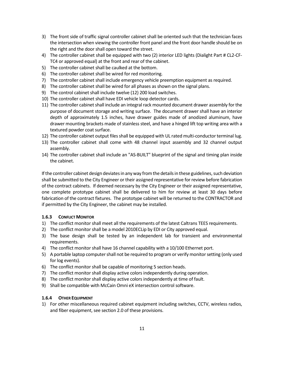- 3) The front side of traffic signal controller cabinet shall be oriented such that the technician faces the intersection when viewing the controller front panel and the front door handle should be on the right and the door shall open toward the street.
- 4) The controller cabinet shall be equipped with two (2) interior LED lights (Dialight Part # CL2-CF-TC4 or approved equal) at the front and rear of the cabinet.
- 5) The controller cabinet shall be caulked at the bottom.
- 6) The controller cabinet shall be wired for red monitoring.
- 7) The controller cabinet shall include emergency vehicle preemption equipment as required.
- 8) The controller cabinet shall be wired for all phases as shown on the signal plans.
- 9) The control cabinet shall include twelve (12) 200 load switches.
- 10) The controller cabinet shall have EDI vehicle loop detector cards.
- 11) The controller cabinet shall include an integral rack mounted document drawer assembly for the purpose of document storage and writing surface. The document drawer shall have an interior depth of approximately 1.5 inches, have drawer guides made of anodized aluminum, have drawer mounting brackets made of stainless steel, and have a hinged lift top writing area with a textured powder coat surface.
- 12) The controller cabinet output files shall be equipped with UL rated multi-conductor terminal lug.
- 13) The controller cabinet shall come with 48 channel input assembly and 32 channel output assembly.
- 14) The controller cabinet shall include an "AS-BUILT" blueprint of the signal and timing plan inside the cabinet.

If the controller cabinet design deviates in any way from the details in these guidelines, such deviation shall be submitted to the City Engineer or their assigned representative for review before fabrication of the contract cabinets. If deemed necessary by the City Engineer or their assigned representative, one complete prototype cabinet shall be delivered to him for review at least 30 days before fabrication of the contract fixtures. The prototype cabinet will be returned to the CONTRACTOR and if permitted by the City Engineer, the cabinet may be installed.

# **1.6.3 CONFLICT MONITOR**

- 1) The conflict monitor shall meet all the requirements of the latest Caltrans TEES requirements.
- 2) The conflict monitor shall be a model 2010ECLip by EDI or City approved equal.
- 3) The base design shall be tested by an independent lab for transient and environmental requirements.
- 4) The conflict monitor shall have 16 channel capability with a 10/100 Ethernet port.
- 5) A portable laptop computer shall not be required to program or verify monitor setting (only used for log events).
- 6) The conflict monitor shall be capable of monitoring 5 section heads.
- 7) The conflict monitor shall display active colors independently during operation.
- 8) The conflict monitor shall display active colors independently at time of fault.
- 9) Shall be compatible with McCain Omni eX intersection control software.

# **1.6.4 OTHER EQUIPMENT**

1) For other miscellaneous required cabinet equipment including switches, CCTV, wireless radios, and fiber equipment, see section 2.0 of these provisions.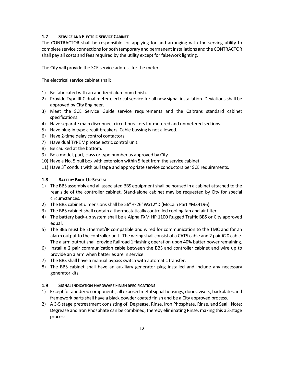# **1.7 SERVICE AND ELECTRIC SERVICE CABINET**

The CONTRACTOR shall be responsible for applying for and arranging with the serving utility to complete service connections for both temporary and permanent installations and the CONTRACTOR shall pay all costs and fees required by the utility except for falsework lighting.

The City will provide the SCE service address for the meters.

The electrical service cabinet shall:

- 1) Be fabricated with an anodized aluminum finish.
- 2) Provide Type III-C dual meter electrical service for all new signal installation. Deviations shall be approved by City Engineer.
- 3) Meet the SCE Service Guide service requirements and the Caltrans standard cabinet specifications.
- 4) Have separate main disconnect circuit breakers for metered and unmetered sections.
- 5) Have plug-in type circuit breakers. Cable bussing is not allowed.
- 6) Have 2-time delay control contactors.
- 7) Have dual TYPE V photoelectric control unit.
- 8) Be caulked at the bottom.
- 9) Be a model, part, class or type number as approved by City.
- 10) Have a No. 5 pull box with extension within 5 feet from the service cabinet.
- 11) Have 3" conduit with pull tape and appropriate service conductors per SCE requirements.

# **1.8 BATTERY BACK-UP SYSTEM**

- 1) The BBS assembly and all associated BBS equipment shall be housed in a cabinet attached to the rear side of the controller cabinet. Stand-alone cabinet may be requested by City for special circumstances.
- 2) The BBS cabinet dimensions shall be 56"Hx26"Wx12"D (McCain Part #M34196).
- 3) The BBS cabinet shall contain a thermostatically controlled cooling fan and air filter.
- 4) The battery back-up system shall be a Alpha FXM HP 1100 Rugged Traffic BBS or City approved equal.
- 5) The BBS must be Ethernet/IP compatible and wired for communication to the TMC and for an alarm output to the controller unit. The wiring shall consist of a CAT5 cable and 2 pair #20 cable. The alarm output shall provide Railroad 1 flashing operation upon 40% batter power remaining.
- 6) Install a 2 pair communication cable between the BBS and controller cabinet and wire up to provide an alarm when batteries are in service.
- 7) The BBS shall have a manual bypass switch with automatic transfer.
- 8) The BBS cabinet shall have an auxiliary generator plug installed and include any necessary generator kits.

#### **1.9 SIGNAL INDICATION HARDWARE FINISH SPECIFICATIONS**

- 1) Except for anodized components, all exposed metal signal housings, doors, visors, backplates and framework parts shall have a black powder coated finish and be a City approved process.
- 2) A 3-5 stage pretreatment consisting of: Degrease, Rinse, Iron Phosphate, Rinse, and Seal. Note: Degrease and Iron Phosphate can be combined, thereby eliminating Rinse, making this a 3-stage process.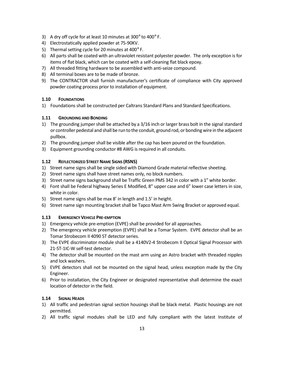- 3) A dry off cycle for at least 10 minutes at 300 $^{\circ}$  to 400 $^{\circ}$  F.
- 4) Electrostatically applied powder at 75-90KV.
- 5) Thermal setting cycle for 20 minutes at 400° F.
- 6) All parts shall be coated with an ultraviolet resistant polyester powder. The only exception is for items of flat black, which can be coated with a self-cleaning flat black epoxy.
- 7) All threaded fitting hardware to be assembled with anti-seize compound.
- 8) All terminal boxes are to be made of bronze.
- 9) The CONTRACTOR shall furnish manufacturer's certificate of compliance with City approved powder coating process prior to installation of equipment.

# **1.10 FOUNDATIONS**

1) Foundations shall be constructed per Caltrans Standard Plans and Standard Specifications.

# **1.11 GROUNDING AND BONDING**

- 1) The grounding jumper shall be attached by a 3/16 inch or larger brass bolt in the signal standard or controller pedestal and shall be run to the conduit, ground rod, or bonding wire in the adjacent pullbox.
- 2) The grounding jumper shall be visible after the cap has been poured on the foundation.
- 3) Equipment grounding conductor #8 AWG is required in all conduits.

# **1.12 REFLECTORIZED STREET NAME SIGNS (RSNS)**

- 1) Street name signs shall be single sided with Diamond Grade material reflective sheeting.
- 2) Street name signs shall have street names only, no block numbers.
- 3) Street name signs background shall be Traffic Green PMS 342 in color with a 1" white border.
- 4) Font shall be Federal highway Series E Modified, 8" upper case and 6" lower case letters in size, white in color.
- 5) Street name signs shall be max 8' in length and 1.5' in height.
- 6) Street name sign mounting bracket shall be Tapco Mast Arm Swing Bracket or approved equal.

# **1.13 EMERGENCY VEHICLE PRE-EMPTION**

- 1) Emergency vehicle pre-emption (EVPE) shall be provided for all approaches.
- 2) The emergency vehicle preemption (EVPE) shall be a Tomar System. EVPE detector shall be an Tomar Strobecom II 4090 ST detector series.
- 3) The EVPE discriminator module shall be a 4140V2-4 Strobecom II Optical Signal Processor with 21-ST-1IC-W self-test detector.
- 4) The detector shall be mounted on the mast arm using an Astro bracket with threaded nipples and lock washers.
- 5) EVPE detectors shall not be mounted on the signal head, unless exception made by the City Engineer.
- 6) Prior to installation, the City Engineer or designated representative shall determine the exact location of detector in the field.

# **1.14 SIGNAL HEADS**

- 1) All traffic and pedestrian signal section housings shall be black metal. Plastic housings are not permitted.
- 2) All traffic signal modules shall be LED and fully compliant with the latest Institute of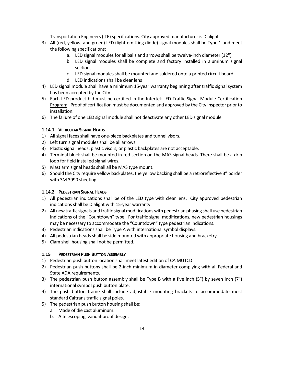Transportation Engineers (ITE) specifications. City approved manufacturer is Dialight.

- 3) All (red, yellow, and green) LED (light-emitting diode) signal modules shall be Type 1 and meet the following specifications:
	- a. LED signal modules for all balls and arrows shall be twelve-inch diameter (12").
	- b. LED signal modules shall be complete and factory installed in aluminum signal sections.
	- c. LED signal modules shall be mounted and soldered onto a printed circuit board.
	- d. LED indications shall be clear lens
- 4) LED signal module shall have a minimum 15-year warranty beginning after traffic signal system has been accepted by the City
- 5) Each LED product bid must be certified in the Intertek LED Traffic Signal Module Certification Program. Proof of certification must be documented and approved by the City Inspector prior to installation.
- 6) The failure of one LED signal module shall not deactivate any other LED signal module

# **1.14.1 VEHICULAR SIGNAL HEADS**

- 1) All signal faces shall have one-piece backplates and tunnel visors.
- 2) Left turn signal modules shall be all arrows.
- 3) Plastic signal heads, plastic visors, or plastic backplates are not acceptable.
- 4) Terminal block shall be mounted in red section on the MAS signal heads. There shall be a drip loop for field installed signal wires.
- 5) Mast arm signal heads shall all be MAS type mount.
- 6) Should the City require yellow backplates, the yellow backing shall be a retroreflective 3" border with 3M 3990 sheeting.

#### **1.14.2 PEDESTRIAN SIGNAL HEADS**

- 1) All pedestrian indications shall be of the LED type with clear lens. City approved pedestrian indications shall be Dialight with 15-year warranty.
- 2) All new traffic signals and traffic signal modifications with pedestrian phasing shall use pedestrian indications of the "Countdown" type. For traffic signal modifications, new pedestrian housings may be necessary to accommodate the "Countdown" type pedestrian indications.
- 3) Pedestrian indications shall be Type A with international symbol displays.
- 4) All pedestrian heads shall be side mounted with appropriate housing and bracketry.
- 5) Clam shell housing shall not be permitted.

#### **1.15 PEDESTRIAN PUSH BUTTON ASSEMBLY**

- 1) Pedestrian push button location shall meet latest edition of CA MUTCD.
- 2) Pedestrian push buttons shall be 2-inch minimum in diameter complying with all Federal and State ADA requirements.
- 3) The pedestrian push button assembly shall be Type B with a five inch (5") by seven inch (7") international symbol push button plate.
- 4) The push button frame shall include adjustable mounting brackets to accommodate most standard Caltrans traffic signal poles.
- 5) The pedestrian push button housing shall be:
	- a. Made of die cast aluminum.
	- b. A telescoping, vandal-proof design.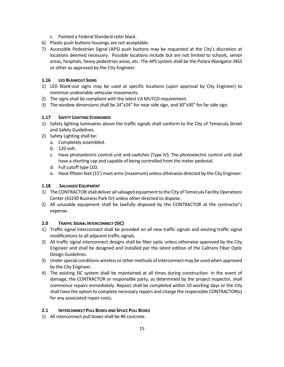- c. Painted a Federal Standard color black.
- 6) Plastic push buttons housings are not acceptable.
- 7) Accessible Pedestrian Signal (APS) push buttons may be requested at the City's discretion at locations deemed necessary. Possible locations include but are not limited to schools, senior areas, hospitals, heavy pedestrian areas, etc. The APS system shall be the Polara iNavigator iNS3 or other as approved by the City Engineer.

# **1.16 LED BLANKOUT SIGNS**

- 1) LED Blank-out signs may be used at specific locations (upon approval by City Engineer) to minimize undesirable vehicular movements.
- 2) The signs shall be compliant with the latest CA MUTCD requirement.
- 3) The window dimensions shall be 24"x24" for near side sign, and 30"x30" for far side sign.

# **1.17 SAFETY LIGHTING STANDARDS**

- 1) Safety lighting luminaires above the traffic signals shall conform to the City of Temecula Street and Safety Guidelines.
- 2) Safety Lighting shall be:
	- a. Completely assembled.
	- b. 120 volt.
	- c. Have photoelectric control unit and switches (Type IV). The photoelectric control unit shall have a shorting cap and capable of being controlled from the meter pedestal.
	- d. Full cutoff type LED.
	- e. Have fifteen feet (15') mast arms (maximum) unless otherwise directed by the City Engineer.

# **1.18 SALVAGED EQUIPMENT**

- 1) The CONTRACTOR shall deliver all salvaged equipment to the City of Temecula Facility Operations Center (43230 Business Park Dr) unless other directed to dispose.
- 2) All unusable equipment shall be lawfully disposed by the CONTRACTOR at the contractor's expense.

# **2.0 TRAFFIC SIGNAL INTERCONNECT (SIC)**

- 1) Traffic signal interconnect shall be provided on all new traffic signals and existing traffic signal modifications to all adjacent traffic signals.
- 2) All traffic signal interconnect designs shall be fiber optic unless otherwise approved by the City Engineer and shall be designed and installed per the latest edition of the Caltrans Fiber Optic Design Guidelines.
- 3) Under special conditions wireless or other methods of interconnect may be used when approved by the City Engineer.
- 4) The existing SIC system shall be maintained at all times during construction. In the event of damage, the CONTRACTOR or responsible party, as determined by the project inspector, shall commence repairs immediately. Repairs shall be completed within 10 working days or the City shall have the option to complete necessary repairs and charge the responsible CONTRACTOR(s) for any associated repair costs.

# **2.1 INTERCONNECT PULL BOXES AND SPLICE PULL BOXES**

1) All interconnect pull boxes shall be #6 concrete.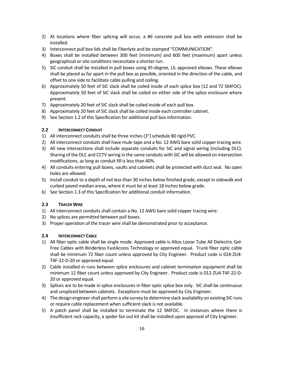- 2) At locations where fiber splicing will occur, a #6 concrete pull box with extension shall be installed.
- 3) Interconnect pull box lids shall be Fiberlyte and be stamped "COMMUNICATION".
- 4) Boxes shall be installed between 300 feet (minimum) and 600 feet (maximum) apart unless geographical or site conditions necessitate a shorter run.
- 5) SIC conduit shall be installed in pull boxes using 45-degree, UL approved elbows. These elbows shall be placed as far apart in the pull box as possible, oriented in the direction of the cable, and offset to one side to facilitate cable pulling and coiling.
- 6) Approximately 50 feet of SIC slack shall be coiled inside of each splice box (12 and 72 SMFOC). Approximately 50 feet of SIC slack shall be coiled on either side of the splice enclosure where present.
- 7) Approximately 20 feet of SIC slack shall be coiled inside of each pull box.
- 8) Approximately 20 feet of SIC slack shall be coiled inside each controller cabinet.
- 9) See Section 1.2 of this Specification for additional pull box information.

# **2.2 INTERCONNECT CONDUIT**

- 1) All interconnect conduits shall be three inches (3") schedule 80 rigid PVC.
- 2) All interconnect conduits shall have mule tape and a No. 12 AWG bare solid copper tracing wire.
- 3) All new intersections shall include separate conduits for SIC and signal wiring (including DLC). Sharing of the DLC and CCTV wiring in the same conduits with SIC will be allowed on intersection modifications, as long as conduit fill is less than 40%.
- 4) All conduits entering pull boxes, vaults and cabinets shall be protected with duct seal. No open holes are allowed.
- 5) Install conduit to a depth of not less than 30 inches below finished grade, except in sidewalk and curbed paved median areas, where it must be at least 18 inches below grade.
- 6) See Section 1.3 of this Specification for additional conduit information.

# **2.3 TRACER WIRE**

- 1) All interconnect conduits shall contain a No. 12 AWG bare solid copper tracing wire.
- 2) No splices are permitted between pull boxes.
- 3) Proper operation of the tracer wire shall be demonstrated prior to acceptance.

# **2.4 INTERCONNECT CABLE**

- 1) All fiber optic cable shall be single mode. Approved cable is Altos Loose Tube All Dielectric Gel-Free Cables with Binderless FastAccess Technology or approved equal. Trunk fiber optic cable shall be minimum 72 fiber count unless approved by City Engineer. Product code is 024-ZU4- T4F-22-D-20 or approved equal.
- 2) Cable installed in runs between splice enclosures and cabinet termination equipment shall be minimum 12 fiber count unless approved by City Engineer. Product code is 012-ZU4-T4F-22-D-20 or approved equal.
- 3) Splices are to be made in splice enclosures in fiber optic splice box only. SIC shall be continuous and unspliced between cabinets. Exceptions must be approved by City Engineer.
- 4) The design engineer shall perform a site survey to determine slack availability on existing SIC runs or require cable replacement when sufficient slack is not available.
- 5) A patch panel shall be installed to terminate the 12 SMFOC. In instances where there is insufficient rack capacity, a spider fan out kit shall be installed upon approval of City Engineer.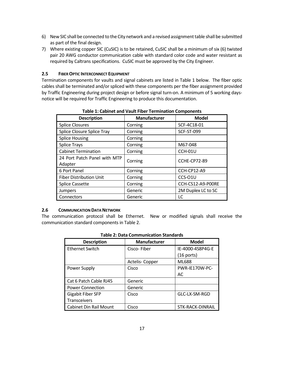- 6) New SIC shall be connected to the City network and a revised assignment table shall be submitted as part of the final design.
- 7) Where existing copper SIC (CuSIC) is to be retained, CuSIC shall be a minimum of six (6) twisted pair 20 AWG conductor communication cable with standard color code and water resistant as required by Caltrans specifications. CuSIC must be approved by the City Engineer.

# **2.5 FIBER OPTIC INTERCONNECT EQUIPMENT**

Termination components for vaults and signal cabinets are listed in Table 1 below. The fiber optic cables shall be terminated and/or spliced with these components per the fiber assignment provided by Traffic Engineering during project design or before signal turn-on. A minimum of 5 working daysnotice will be required for Traffic Engineering to produce this documentation.

| <b>Description</b>                | Manufacturer | <b>Model</b>       |  |  |
|-----------------------------------|--------------|--------------------|--|--|
| <b>Splice Closures</b>            | Corning      | SCF-4C18-01        |  |  |
| <b>Splice Closure Splice Tray</b> | Corning      | <b>SCF-ST-099</b>  |  |  |
| <b>Splice Housing</b>             | Corning      |                    |  |  |
| <b>Splice Trays</b>               | Corning      | M67-048            |  |  |
| <b>Cabinet Termination</b>        | Corning      | <b>CCH-01U</b>     |  |  |
| 24 Port Patch Panel with MTP      | Corning      | CCHE-CP72-89       |  |  |
| Adapter                           |              |                    |  |  |
| 6 Port Panel                      | Corning      | CCH-CP12-A9        |  |  |
| <b>Fiber Distribution Unit</b>    | Corning      | CCS-O1U            |  |  |
| <b>Splice Cassette</b>            | Corning      | CCH-CS12-A9-P00RE  |  |  |
| <b>Jumpers</b>                    | Generic      | 2M Duplex LC to SC |  |  |
| Connectors                        | Generic      | LC                 |  |  |

#### **Table 1: Cabinet and Vault Fiber Termination Components**

# **2.6 COMMUNICATION DATA NETWORK**

The communication protocol shall be Ethernet. New or modified signals shall receive the communication standard components in Table 2.

| Table 2. Data Communication Standards |                     |                  |  |
|---------------------------------------|---------------------|------------------|--|
| <b>Description</b>                    | <b>Manufacturer</b> | <b>Model</b>     |  |
| <b>Ethernet Switch</b>                | Cisco-Fiber         | IE-4000-4S8P4G-E |  |
|                                       |                     | (16 ports)       |  |
|                                       | Actelis-Copper      | ML688            |  |
| Power Supply                          | Cisco               | PWR-IE170W-PC-   |  |
|                                       |                     | AC               |  |
| Cat 6 Patch Cable RJ45                | Generic             |                  |  |
| <b>Power Connection</b>               | Generic             |                  |  |
| <b>Gigabit Fiber SFP</b>              | Cisco               | GLC-LX-SM-RGD    |  |
| <b>Transceivers</b>                   |                     |                  |  |
| <b>Cabinet Din Rail Mount</b>         | Cisco               | STK-RACK-DINRAIL |  |

# **Table 2: Data Communication Standards**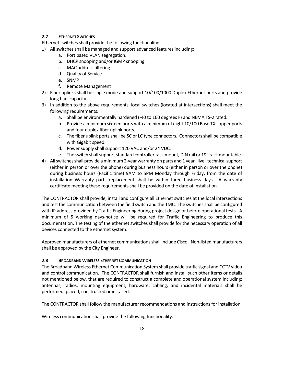# **2.7 ETHERNET SWITCHES**

Ethernet switches shall provide the following functionality:

- 1) All switches shall be managed and support advanced features including:
	- a. Port based VLAN segregation.
	- b. DHCP snooping and/or IGMP snooping
	- c. MAC address filtering
	- d. Quality of Service
	- e. SNMP
	- f. Remote Management
- 2) Fiber uplinks shall be single mode and support 10/100/1000 Duplex Ethernet ports and provide long haul capacity.
- 3) In addition to the above requirements, local switches (located at intersections) shall meet the following requirements:
	- a. Shall be environmentally hardened (-40 to 160 degrees F) and NEMA TS-2 rated.
	- b. Provide a minimum sixteen ports with a minimum of eight 10/100 Base TX copper ports and four duplex fiber uplink ports.
	- c. The fiber uplink ports shall be SC or LC type connectors. Connectors shall be compatible with Gigabit speed.
	- d. Power supply shall support 120 VAC and/or 24 VDC.
	- e. The switch shall support standard controller rack mount, DIN rail or 19" rack mountable.
- 4) All switches shall provide a minimum 2-year warranty on parts and 1 year "live" technical support (either in person or over the phone) during business hours (either in person or over the phone) during business hours (Pacific time) 9AM to 5PM Monday through Friday, from the date of installation Warranty parts replacement shall be within three business days. A warranty certificate meeting these requirements shall be provided on the date of installation.

The CONTRACTOR shall provide, install and configure all Ethernet switches at the local intersections and test the communication between the field switch and the TMC. The switches shall be configured with IP address provided by Traffic Engineering during project design or before operational tests. A minimum of 5 working days-notice will be required for Traffic Engineering to produce this documentation. The testing of the ethernet switches shall provide for the necessary operation of all devices connected to the ethernet system.

Approved manufacturers of ethernet communications shall include Cisco. Non-listed manufacturers shall be approved by the City Engineer.

# **2.8 BROADBAND WIRELESS ETHERNET COMMUNICATION**

The Broadband Wireless Ethernet Communication System shall provide traffic signal and CCTV video and control communication. The CONTRACTOR shall furnish and install such other items or details not mentioned below, that are required to construct a complete and operational system including: antennas, radios, mounting equipment, hardware, cabling, and incidental materials shall be performed, placed, constructed or installed.

The CONTRACTOR shall follow the manufacturer recommendations and instructions for installation.

Wireless communication shall provide the following functionality: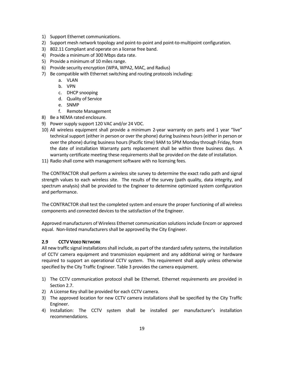- 1) Support Ethernet communications.
- 2) Support mesh network topology and point-to-point and point-to-multipoint configuration.
- 3) 802.11 Compliant and operate on a license free band.
- 4) Provide a minimum of 300 Mbps data rate.
- 5) Provide a minimum of 10 miles range.
- 6) Provide security encryption (WPA, WPA2, MAC, and Radius)
- 7) Be compatible with Ethernet switching and routing protocols including:
	- a. VLAN
	- b. VPN
	- c. DHCP snooping
	- d. Quality of Service
	- e. SNMP
	- f. Remote Management
- 8) Be a NEMA rated enclosure.
- 9) Power supply support 120 VAC and/or 24 VDC.
- 10) All wireless equipment shall provide a minimum 2-year warranty on parts and 1 year "live" technical support (either in person or over the phone) during business hours (either in person or over the phone) during business hours (Pacific time) 9AM to 5PM Monday through Friday, from the date of installation Warranty parts replacement shall be within three business days. A warranty certificate meeting these requirements shall be provided on the date of installation.
- 11) Radio shall come with management software with no licensing fees.

The CONTRACTOR shall perform a wireless site survey to determine the exact radio path and signal strength values to each wireless site. The results of the survey (path quality, data integrity, and spectrum analysis) shall be provided to the Engineer to determine optimized system configuration and performance.

The CONTRACTOR shall test the completed system and ensure the proper functioning of all wireless components and connected devices to the satisfaction of the Engineer.

Approved manufacturers of Wireless Ethernet communication solutions include Encom or approved equal. Non-listed manufacturers shall be approved by the City Engineer.

#### **2.9 CCTV VIDEO NETWORK**

All new traffic signal installations shall include, as part of the standard safety systems, the installation of CCTV camera equipment and transmission equipment and any additional wiring or hardware required to support an operational CCTV system. This requirement shall apply unless otherwise specified by the City Traffic Engineer. Table 3 provides the camera equipment.

- 1) The CCTV communication protocol shall be Ethernet. Ethernet requirements are provided in Section 2.7.
- 2) A License Key shall be provided for each CCTV camera.
- 3) The approved location for new CCTV camera installations shall be specified by the City Traffic Engineer.
- 4) Installation: The CCTV system shall be installed per manufacturer's installation recommendations.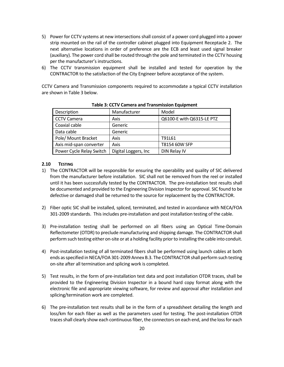- 5) Power for CCTV systems at new intersections shall consist of a power cord plugged into a power strip mounted on the rail of the controller cabinet plugged into Equipment Receptacle 2. The next alternative locations in order of preference are the ECB and least used signal breaker (auxiliary). The power cord shall be routed through the pole and terminated in the CCTV housing per the manufacturer's instructions.
- 6) The CCTV transmission equipment shall be installed and tested for operation by the CONTRACTOR to the satisfaction of the City Engineer before acceptance of the system.

CCTV Camera and Transmission components required to accommodate a typical CCTV installation are shown in Table 3 below.

| Description              | Manufacturer         | Model                     |  |
|--------------------------|----------------------|---------------------------|--|
| <b>CCTV Camera</b>       | Axis                 | Q6100-E with Q6315-LE PTZ |  |
| Coaxial cable            | Generic              |                           |  |
| Data cable               | Generic              |                           |  |
| Pole/ Mount Bracket      | Axis                 | T91L61                    |  |
| Axis mid-span converter  | Axis                 | T8154 60W SFP             |  |
| Power Cycle Relay Switch | Digital Loggers, Inc | DIN Relay IV              |  |

 **Table 3: CCTV Camera and Transmission Equipment** 

# **2.10 TESTING**

- 1) The CONTRACTOR will be responsible for ensuring the operability and quality of SIC delivered from the manufacturer before installation. SIC shall not be removed from the reel or installed until it has been successfully tested by the CONTRACTOR. The pre-installation test results shall be documented and provided to the Engineering Division Inspector for approval. SIC found to be defective or damaged shall be returned to the source for replacement by the CONTRACTOR.
- 2) Fiber optic SIC shall be installed, spliced, terminated, and tested in accordance with NECA/FOA 301-2009 standards. This includes pre-installation and post installation testing of the cable.
- 3) Pre-installation testing shall be performed on all fibers using an Optical Time-Domain Reflectometer (OTDR) to preclude manufacturing and shipping damage. The CONTRACTOR shall perform such testing either on-site or at a holding facility prior to installing the cable into conduit.
- 4) Post-installation testing of all terminated fibers shall be performed using launch cables at both ends as specified in NECA/FOA 301-2009 Annex B.3. The CONTRACTOR shall perform such testing on-site after all termination and splicing work is completed.
- 5) Test results, in the form of pre-installation test data and post installation OTDR traces, shall be provided to the Engineering Division Inspector in a bound hard copy format along with the electronic file and appropriate viewing software, for review and approval after installation and splicing/termination work are completed.
- 6) The pre-installation test results shall be in the form of a spreadsheet detailing the length and loss/km for each fiber as well as the parameters used for testing. The post-installation OTDR traces shall clearly show each continuous fiber, the connectors on each end, and the loss for each